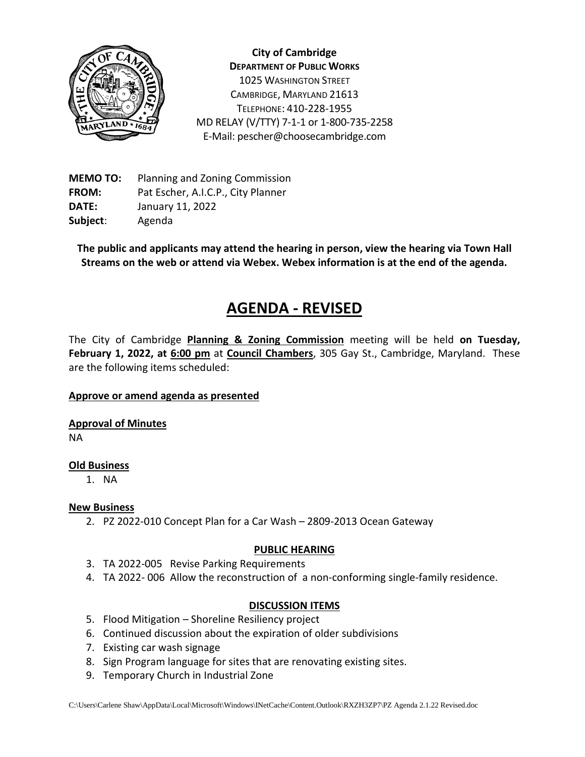

**City of Cambridge DEPARTMENT OF PUBLIC WORKS** 1025 WASHINGTON STREET CAMBRIDGE, MARYLAND 21613 TELEPHONE: 410-228-1955 MD RELAY (V/TTY) 7-1-1 or 1-800-735-2258 E-Mail: pescher@choosecambridge.com

**MEMO TO:** Planning and Zoning Commission **FROM:** Pat Escher, A.I.C.P., City Planner **DATE:** January 11, 2022 **Subject**: Agenda

**The public and applicants may attend the hearing in person, view the hearing via Town Hall Streams on the web or attend via Webex. Webex information is at the end of the agenda.**

# **AGENDA - REVISED**

The City of Cambridge **Planning & Zoning Commission** meeting will be held **on Tuesday, February 1, 2022, at 6:00 pm** at **Council Chambers**, 305 Gay St., Cambridge, Maryland. These are the following items scheduled:

#### **Approve or amend agenda as presented**

**Approval of Minutes**

NA

#### **Old Business**

1. NA

## **New Business**

2. PZ 2022-010 Concept Plan for a Car Wash – 2809-2013 Ocean Gateway

#### **PUBLIC HEARING**

- 3. TA 2022-005 Revise Parking Requirements
- 4. TA 2022- 006 Allow the reconstruction of a non-conforming single-family residence.

#### **DISCUSSION ITEMS**

- 5. Flood Mitigation Shoreline Resiliency project
- 6. Continued discussion about the expiration of older subdivisions
- 7. Existing car wash signage
- 8. Sign Program language for sites that are renovating existing sites.
- 9. Temporary Church in Industrial Zone